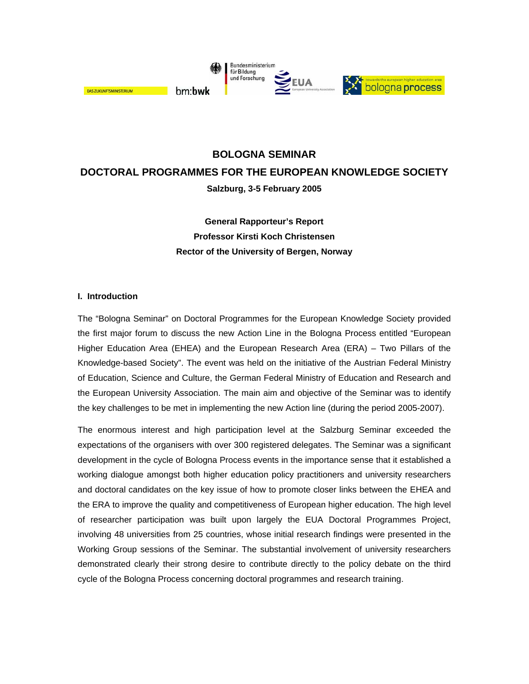

# **BOLOGNA SEMINAR DOCTORAL PROGRAMMES FOR THE EUROPEAN KNOWLEDGE SOCIETY Salzburg, 3-5 February 2005**

**General Rapporteur's Report Professor Kirsti Koch Christensen Rector of the University of Bergen, Norway**

#### **I. Introduction**

The "Bologna Seminar" on Doctoral Programmes for the European Knowledge Society provided the first major forum to discuss the new Action Line in the Bologna Process entitled "European Higher Education Area (EHEA) and the European Research Area (ERA) – Two Pillars of the Knowledge-based Society". The event was held on the initiative of the Austrian Federal Ministry of Education, Science and Culture, the German Federal Ministry of Education and Research and the European University Association. The main aim and objective of the Seminar was to identify the key challenges to be met in implementing the new Action line (during the period 2005-2007).

The enormous interest and high participation level at the Salzburg Seminar exceeded the expectations of the organisers with over 300 registered delegates. The Seminar was a significant development in the cycle of Bologna Process events in the importance sense that it established a working dialogue amongst both higher education policy practitioners and university researchers and doctoral candidates on the key issue of how to promote closer links between the EHEA and the ERA to improve the quality and competitiveness of European higher education. The high level of researcher participation was built upon largely the EUA Doctoral Programmes Project, involving 48 universities from 25 countries, whose initial research findings were presented in the Working Group sessions of the Seminar. The substantial involvement of university researchers demonstrated clearly their strong desire to contribute directly to the policy debate on the third cycle of the Bologna Process concerning doctoral programmes and research training.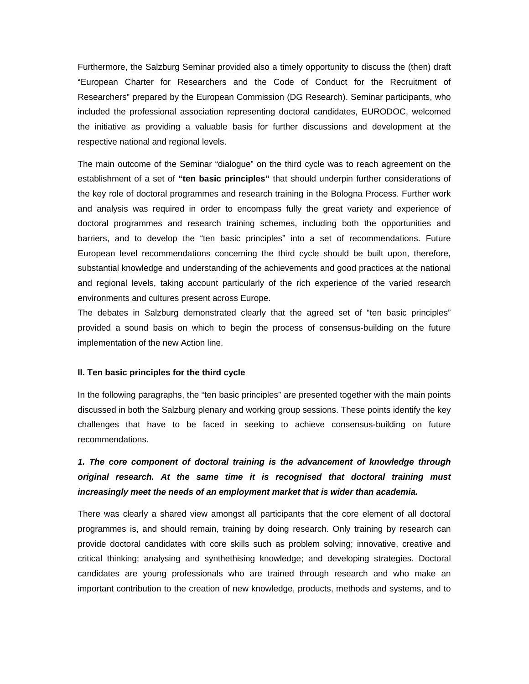Furthermore, the Salzburg Seminar provided also a timely opportunity to discuss the (then) draft "European Charter for Researchers and the Code of Conduct for the Recruitment of Researchers" prepared by the European Commission (DG Research). Seminar participants, who included the professional association representing doctoral candidates, EURODOC, welcomed the initiative as providing a valuable basis for further discussions and development at the respective national and regional levels.

The main outcome of the Seminar "dialogue" on the third cycle was to reach agreement on the establishment of a set of **"ten basic principles"** that should underpin further considerations of the key role of doctoral programmes and research training in the Bologna Process. Further work and analysis was required in order to encompass fully the great variety and experience of doctoral programmes and research training schemes, including both the opportunities and barriers, and to develop the "ten basic principles" into a set of recommendations. Future European level recommendations concerning the third cycle should be built upon, therefore, substantial knowledge and understanding of the achievements and good practices at the national and regional levels, taking account particularly of the rich experience of the varied research environments and cultures present across Europe.

The debates in Salzburg demonstrated clearly that the agreed set of "ten basic principles" provided a sound basis on which to begin the process of consensus-building on the future implementation of the new Action line.

#### **II. Ten basic principles for the third cycle**

In the following paragraphs, the "ten basic principles" are presented together with the main points discussed in both the Salzburg plenary and working group sessions. These points identify the key challenges that have to be faced in seeking to achieve consensus-building on future recommendations.

### 1. The core component of doctoral training is the advancement of knowledge through *original research. At the same time it is recognised that doctoral training must increasingly meet the needs of an employment market that is wider than academia.*

There was clearly a shared view amongst all participants that the core element of all doctoral programmes is, and should remain, training by doing research. Only training by research can provide doctoral candidates with core skills such as problem solving; innovative, creative and critical thinking; analysing and synthethising knowledge; and developing strategies. Doctoral candidates are young professionals who are trained through research and who make an important contribution to the creation of new knowledge, products, methods and systems, and to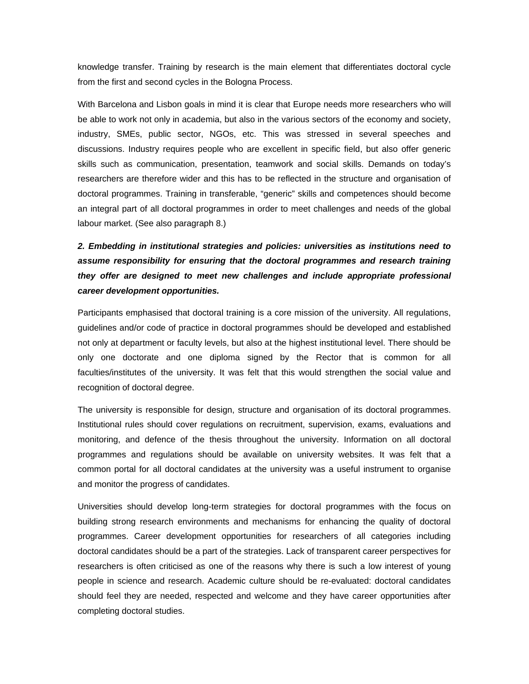knowledge transfer. Training by research is the main element that differentiates doctoral cycle from the first and second cycles in the Bologna Process.

With Barcelona and Lisbon goals in mind it is clear that Europe needs more researchers who will be able to work not only in academia, but also in the various sectors of the economy and society, industry, SMEs, public sector, NGOs, etc. This was stressed in several speeches and discussions. Industry requires people who are excellent in specific field, but also offer generic skills such as communication, presentation, teamwork and social skills. Demands on today's researchers are therefore wider and this has to be reflected in the structure and organisation of doctoral programmes. Training in transferable, "generic" skills and competences should become an integral part of all doctoral programmes in order to meet challenges and needs of the global labour market. (See also paragraph 8.)

*2. Embedding in institutional strategies and policies: universities as institutions need to assume responsibility for ensuring that the doctoral programmes and research training they offer are designed to meet new challenges and include appropriate professional career development opportunities.* 

Participants emphasised that doctoral training is a core mission of the university. All regulations, guidelines and/or code of practice in doctoral programmes should be developed and established not only at department or faculty levels, but also at the highest institutional level. There should be only one doctorate and one diploma signed by the Rector that is common for all faculties/institutes of the university. It was felt that this would strengthen the social value and recognition of doctoral degree.

The university is responsible for design, structure and organisation of its doctoral programmes. Institutional rules should cover regulations on recruitment, supervision, exams, evaluations and monitoring, and defence of the thesis throughout the university. Information on all doctoral programmes and regulations should be available on university websites. It was felt that a common portal for all doctoral candidates at the university was a useful instrument to organise and monitor the progress of candidates.

Universities should develop long-term strategies for doctoral programmes with the focus on building strong research environments and mechanisms for enhancing the quality of doctoral programmes. Career development opportunities for researchers of all categories including doctoral candidates should be a part of the strategies. Lack of transparent career perspectives for researchers is often criticised as one of the reasons why there is such a low interest of young people in science and research. Academic culture should be re-evaluated: doctoral candidates should feel they are needed, respected and welcome and they have career opportunities after completing doctoral studies.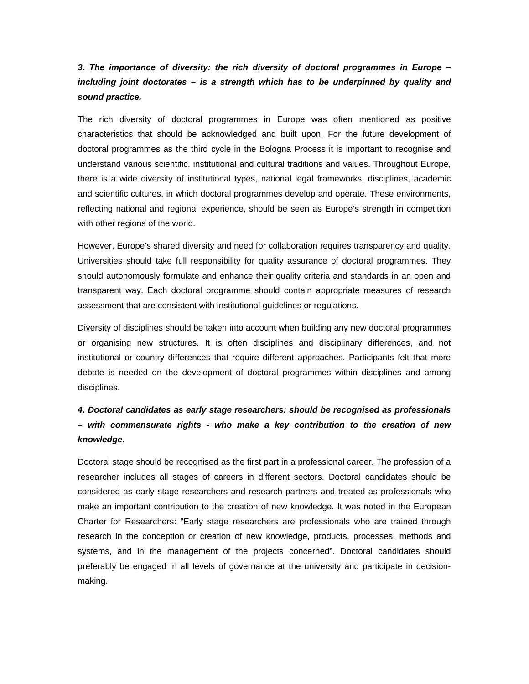#### *3. The importance of diversity: the rich diversity of doctoral programmes in Europe – including joint doctorates – is a strength which has to be underpinned by quality and sound practice.*

The rich diversity of doctoral programmes in Europe was often mentioned as positive characteristics that should be acknowledged and built upon. For the future development of doctoral programmes as the third cycle in the Bologna Process it is important to recognise and understand various scientific, institutional and cultural traditions and values. Throughout Europe, there is a wide diversity of institutional types, national legal frameworks, disciplines, academic and scientific cultures, in which doctoral programmes develop and operate. These environments, reflecting national and regional experience, should be seen as Europe's strength in competition with other regions of the world.

However, Europe's shared diversity and need for collaboration requires transparency and quality. Universities should take full responsibility for quality assurance of doctoral programmes. They should autonomously formulate and enhance their quality criteria and standards in an open and transparent way. Each doctoral programme should contain appropriate measures of research assessment that are consistent with institutional guidelines or regulations.

Diversity of disciplines should be taken into account when building any new doctoral programmes or organising new structures. It is often disciplines and disciplinary differences, and not institutional or country differences that require different approaches. Participants felt that more debate is needed on the development of doctoral programmes within disciplines and among disciplines.

## *4. Doctoral candidates as early stage researchers: should be recognised as professionals – with commensurate rights - who make a key contribution to the creation of new knowledge.*

Doctoral stage should be recognised as the first part in a professional career. The profession of a researcher includes all stages of careers in different sectors. Doctoral candidates should be considered as early stage researchers and research partners and treated as professionals who make an important contribution to the creation of new knowledge. It was noted in the European Charter for Researchers: "Early stage researchers are professionals who are trained through research in the conception or creation of new knowledge, products, processes, methods and systems, and in the management of the projects concerned". Doctoral candidates should preferably be engaged in all levels of governance at the university and participate in decisionmaking.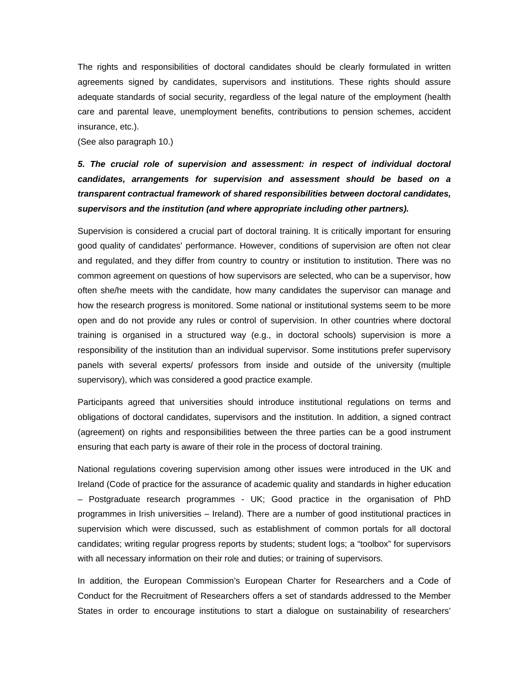The rights and responsibilities of doctoral candidates should be clearly formulated in written agreements signed by candidates, supervisors and institutions. These rights should assure adequate standards of social security, regardless of the legal nature of the employment (health care and parental leave, unemployment benefits, contributions to pension schemes, accident insurance, etc.).

(See also paragraph 10.)

# *5. The crucial role of supervision and assessment: in respect of individual doctoral candidates, arrangements for supervision and assessment should be based on a transparent contractual framework of shared responsibilities between doctoral candidates, supervisors and the institution (and where appropriate including other partners).*

Supervision is considered a crucial part of doctoral training. It is critically important for ensuring good quality of candidates' performance. However, conditions of supervision are often not clear and regulated, and they differ from country to country or institution to institution. There was no common agreement on questions of how supervisors are selected, who can be a supervisor, how often she/he meets with the candidate, how many candidates the supervisor can manage and how the research progress is monitored. Some national or institutional systems seem to be more open and do not provide any rules or control of supervision. In other countries where doctoral training is organised in a structured way (e.g., in doctoral schools) supervision is more a responsibility of the institution than an individual supervisor. Some institutions prefer supervisory panels with several experts/ professors from inside and outside of the university (multiple supervisory), which was considered a good practice example.

Participants agreed that universities should introduce institutional regulations on terms and obligations of doctoral candidates, supervisors and the institution. In addition, a signed contract (agreement) on rights and responsibilities between the three parties can be a good instrument ensuring that each party is aware of their role in the process of doctoral training.

National regulations covering supervision among other issues were introduced in the UK and Ireland (Code of practice for the assurance of academic quality and standards in higher education – Postgraduate research programmes - UK; Good practice in the organisation of PhD programmes in Irish universities – Ireland). There are a number of good institutional practices in supervision which were discussed, such as establishment of common portals for all doctoral candidates; writing regular progress reports by students; student logs; a "toolbox" for supervisors with all necessary information on their role and duties; or training of supervisors.

In addition, the European Commission's European Charter for Researchers and a Code of Conduct for the Recruitment of Researchers offers a set of standards addressed to the Member States in order to encourage institutions to start a dialogue on sustainability of researchers'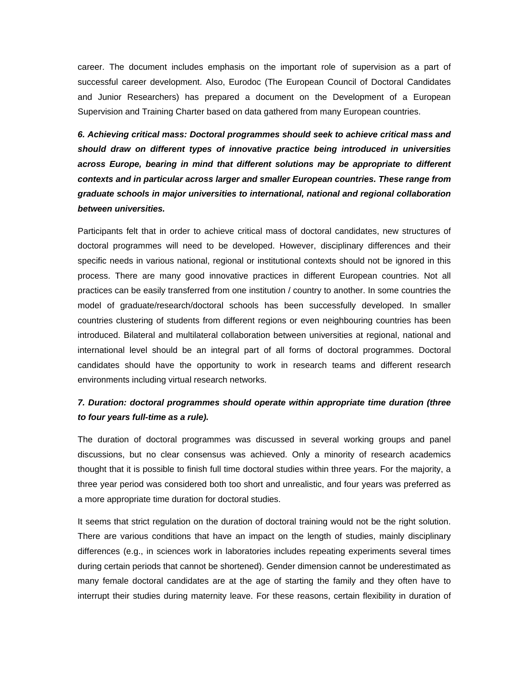career. The document includes emphasis on the important role of supervision as a part of successful career development. Also, Eurodoc (The European Council of Doctoral Candidates and Junior Researchers) has prepared a document on the Development of a European Supervision and Training Charter based on data gathered from many European countries.

*6. Achieving critical mass: Doctoral programmes should seek to achieve critical mass and should draw on different types of innovative practice being introduced in universities across Europe, bearing in mind that different solutions may be appropriate to different contexts and in particular across larger and smaller European countries. These range from graduate schools in major universities to international, national and regional collaboration between universities.* 

Participants felt that in order to achieve critical mass of doctoral candidates, new structures of doctoral programmes will need to be developed. However, disciplinary differences and their specific needs in various national, regional or institutional contexts should not be ignored in this process. There are many good innovative practices in different European countries. Not all practices can be easily transferred from one institution / country to another. In some countries the model of graduate/research/doctoral schools has been successfully developed. In smaller countries clustering of students from different regions or even neighbouring countries has been introduced. Bilateral and multilateral collaboration between universities at regional, national and international level should be an integral part of all forms of doctoral programmes. Doctoral candidates should have the opportunity to work in research teams and different research environments including virtual research networks.

#### *7. Duration: doctoral programmes should operate within appropriate time duration (three to four years full-time as a rule).*

The duration of doctoral programmes was discussed in several working groups and panel discussions, but no clear consensus was achieved. Only a minority of research academics thought that it is possible to finish full time doctoral studies within three years. For the majority, a three year period was considered both too short and unrealistic, and four years was preferred as a more appropriate time duration for doctoral studies.

It seems that strict regulation on the duration of doctoral training would not be the right solution. There are various conditions that have an impact on the length of studies, mainly disciplinary differences (e.g., in sciences work in laboratories includes repeating experiments several times during certain periods that cannot be shortened). Gender dimension cannot be underestimated as many female doctoral candidates are at the age of starting the family and they often have to interrupt their studies during maternity leave. For these reasons, certain flexibility in duration of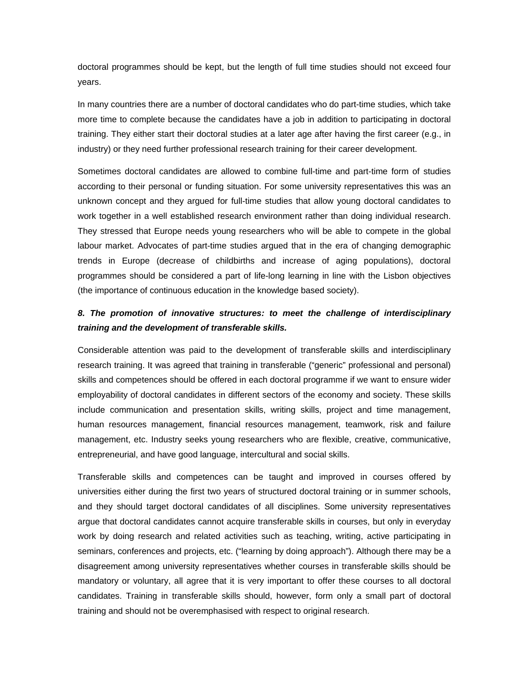doctoral programmes should be kept, but the length of full time studies should not exceed four years.

In many countries there are a number of doctoral candidates who do part-time studies, which take more time to complete because the candidates have a job in addition to participating in doctoral training. They either start their doctoral studies at a later age after having the first career (e.g., in industry) or they need further professional research training for their career development.

Sometimes doctoral candidates are allowed to combine full-time and part-time form of studies according to their personal or funding situation. For some university representatives this was an unknown concept and they argued for full-time studies that allow young doctoral candidates to work together in a well established research environment rather than doing individual research. They stressed that Europe needs young researchers who will be able to compete in the global labour market. Advocates of part-time studies argued that in the era of changing demographic trends in Europe (decrease of childbirths and increase of aging populations), doctoral programmes should be considered a part of life-long learning in line with the Lisbon objectives (the importance of continuous education in the knowledge based society).

#### *8. The promotion of innovative structures: to meet the challenge of interdisciplinary training and the development of transferable skills.*

Considerable attention was paid to the development of transferable skills and interdisciplinary research training. It was agreed that training in transferable ("generic" professional and personal) skills and competences should be offered in each doctoral programme if we want to ensure wider employability of doctoral candidates in different sectors of the economy and society. These skills include communication and presentation skills, writing skills, project and time management, human resources management, financial resources management, teamwork, risk and failure management, etc. Industry seeks young researchers who are flexible, creative, communicative, entrepreneurial, and have good language, intercultural and social skills.

Transferable skills and competences can be taught and improved in courses offered by universities either during the first two years of structured doctoral training or in summer schools, and they should target doctoral candidates of all disciplines. Some university representatives argue that doctoral candidates cannot acquire transferable skills in courses, but only in everyday work by doing research and related activities such as teaching, writing, active participating in seminars, conferences and projects, etc. ("learning by doing approach"). Although there may be a disagreement among university representatives whether courses in transferable skills should be mandatory or voluntary, all agree that it is very important to offer these courses to all doctoral candidates. Training in transferable skills should, however, form only a small part of doctoral training and should not be overemphasised with respect to original research.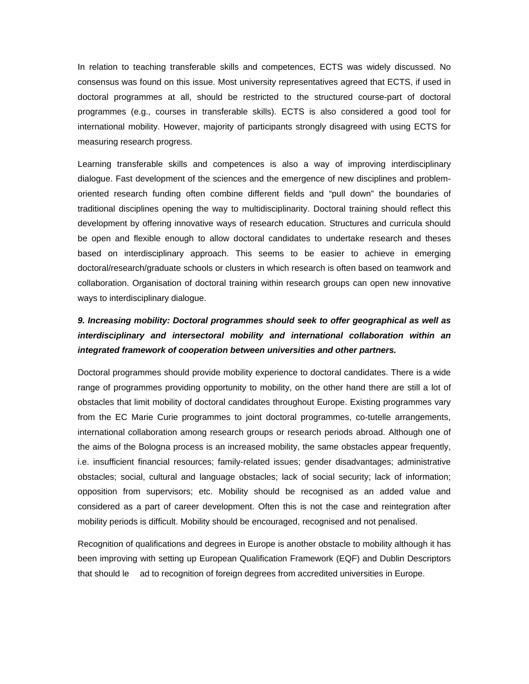In relation to teaching transferable skills and competences, ECTS was widely discussed. No consensus was found on this issue. Most university representatives agreed that ECTS, if used in doctoral programmes at all, should be restricted to the structured course-part of doctoral programmes (e.g., courses in transferable skills). ECTS is also considered a good tool for international mobility. However, majority of participants strongly disagreed with using ECTS for measuring research progress.

Learning transferable skills and competences is also a way of improving interdisciplinary dialogue. Fast development of the sciences and the emergence of new disciplines and problemoriented research funding often combine different fields and "pull down" the boundaries of traditional disciplines opening the way to multidisciplinarity. Doctoral training should reflect this development by offering innovative ways of research education. Structures and curricula should be open and flexible enough to allow doctoral candidates to undertake research and theses based on interdisciplinary approach. This seems to be easier to achieve in emerging doctoral/research/graduate schools or clusters in which research is often based on teamwork and collaboration. Organisation of doctoral training within research groups can open new innovative ways to interdisciplinary dialogue.

# *9. Increasing mobility: Doctoral programmes should seek to offer geographical as well as interdisciplinary and intersectoral mobility and international collaboration within an integrated framework of cooperation between universities and other partners.*

Doctoral programmes should provide mobility experience to doctoral candidates. There is a wide range of programmes providing opportunity to mobility, on the other hand there are still a lot of obstacles that limit mobility of doctoral candidates throughout Europe. Existing programmes vary from the EC Marie Curie programmes to joint doctoral programmes, co-tutelle arrangements, international collaboration among research groups or research periods abroad. Although one of the aims of the Bologna process is an increased mobility, the same obstacles appear frequently, i.e. insufficient financial resources; family-related issues; gender disadvantages; administrative obstacles; social, cultural and language obstacles; lack of social security; lack of information; opposition from supervisors; etc. Mobility should be recognised as an added value and considered as a part of career development. Often this is not the case and reintegration after mobility periods is difficult. Mobility should be encouraged, recognised and not penalised.

Recognition of qualifications and degrees in Europe is another obstacle to mobility although it has been improving with setting up European Qualification Framework (EQF) and Dublin Descriptors that should le ad to recognition of foreign degrees from accredited universities in Europe.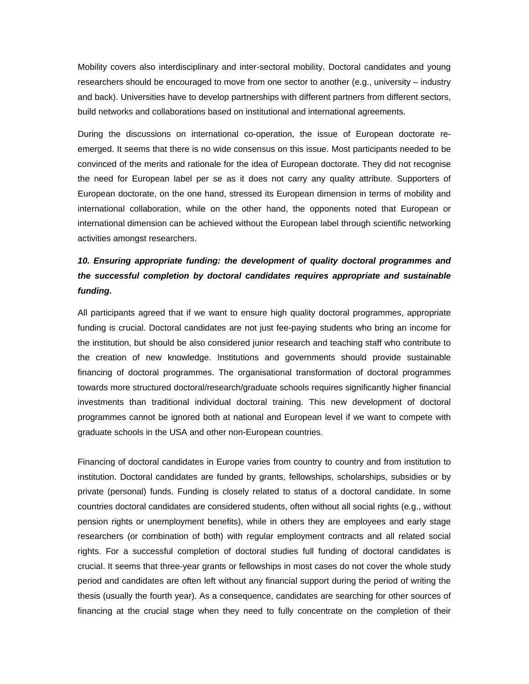Mobility covers also interdisciplinary and inter-sectoral mobility. Doctoral candidates and young researchers should be encouraged to move from one sector to another (e.g., university – industry and back). Universities have to develop partnerships with different partners from different sectors, build networks and collaborations based on institutional and international agreements.

During the discussions on international co-operation, the issue of European doctorate reemerged. It seems that there is no wide consensus on this issue. Most participants needed to be convinced of the merits and rationale for the idea of European doctorate. They did not recognise the need for European label per se as it does not carry any quality attribute. Supporters of European doctorate, on the one hand, stressed its European dimension in terms of mobility and international collaboration, while on the other hand, the opponents noted that European or international dimension can be achieved without the European label through scientific networking activities amongst researchers.

# 10. Ensuring appropriate funding: the development of quality doctoral programmes and *the successful completion by doctoral candidates requires appropriate and sustainable funding.*

All participants agreed that if we want to ensure high quality doctoral programmes, appropriate funding is crucial. Doctoral candidates are not just fee-paying students who bring an income for the institution, but should be also considered junior research and teaching staff who contribute to the creation of new knowledge. Institutions and governments should provide sustainable financing of doctoral programmes. The organisational transformation of doctoral programmes towards more structured doctoral/research/graduate schools requires significantly higher financial investments than traditional individual doctoral training. This new development of doctoral programmes cannot be ignored both at national and European level if we want to compete with graduate schools in the USA and other non-European countries.

Financing of doctoral candidates in Europe varies from country to country and from institution to institution. Doctoral candidates are funded by grants, fellowships, scholarships, subsidies or by private (personal) funds. Funding is closely related to status of a doctoral candidate. In some countries doctoral candidates are considered students, often without all social rights (e.g., without pension rights or unemployment benefits), while in others they are employees and early stage researchers (or combination of both) with regular employment contracts and all related social rights. For a successful completion of doctoral studies full funding of doctoral candidates is crucial. It seems that three-year grants or fellowships in most cases do not cover the whole study period and candidates are often left without any financial support during the period of writing the thesis (usually the fourth year). As a consequence, candidates are searching for other sources of financing at the crucial stage when they need to fully concentrate on the completion of their